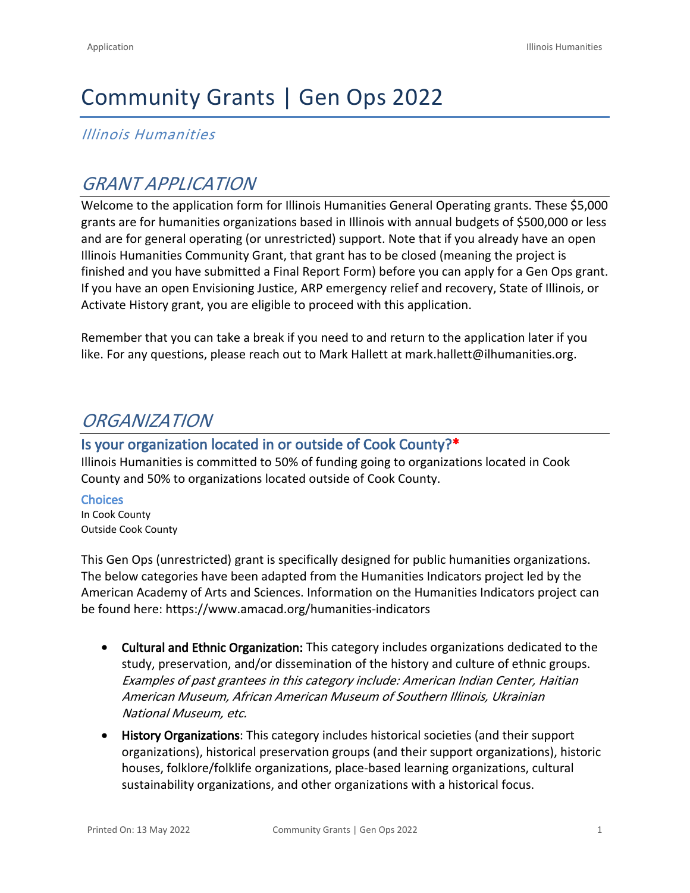# Community Grants | Gen Ops 2022

*Illinois Humanities*

## *GRANT APPLICATION*

Welcome to the application form for Illinois Humanities General Operating grants. These \$5,000 grants are for humanities organizations based in Illinois with annual budgets of \$500,000 or less and are for general operating (or unrestricted) support. Note that if you already have an open Illinois Humanities Community Grant, that grant has to be closed (meaning the project is finished and you have submitted a Final Report Form) before you can apply for a Gen Ops grant. If you have an open Envisioning Justice, ARP emergency relief and recovery, State of Illinois, or Activate History grant, you are eligible to proceed with this application.

Remember that you can take a break if you need to and return to the application later if you like. For any questions, please reach out to Mark Hallett at [mark.hallett@ilhumanities.org.](mailto:mark.hallett@ilhumanities.org)

## *ORGANIZATION*

### **Is your organization located in or outside of Cook County?\***

Illinois Humanities is committed to 50% of funding going to organizations located in Cook County and 50% to organizations located outside of Cook County.

**Choices** In Cook County Outside Cook County

This Gen Ops (unrestricted) grant is specifically designed for public humanities organizations. The below categories have been adapted from the Humanities Indicators project led by the American Academy of Arts and Sciences. Information on the Humanities Indicators project can be found here: <https://www.amacad.org/humanities-indicators>

- **Cultural and Ethnic Organization:** This category includes organizations dedicated to the study, preservation, and/or dissemination of the history and culture of ethnic groups. *Examples of past grantees in this category include: American Indian Center, Haitian American Museum, African American Museum of Southern Illinois, Ukrainian National Museum, etc.*
- **History Organizations**: This category includes historical societies (and their support organizations), historical preservation groups (and their support organizations), historic houses, folklore/folklife organizations, place-based learning organizations, cultural sustainability organizations, and other organizations with a historical focus.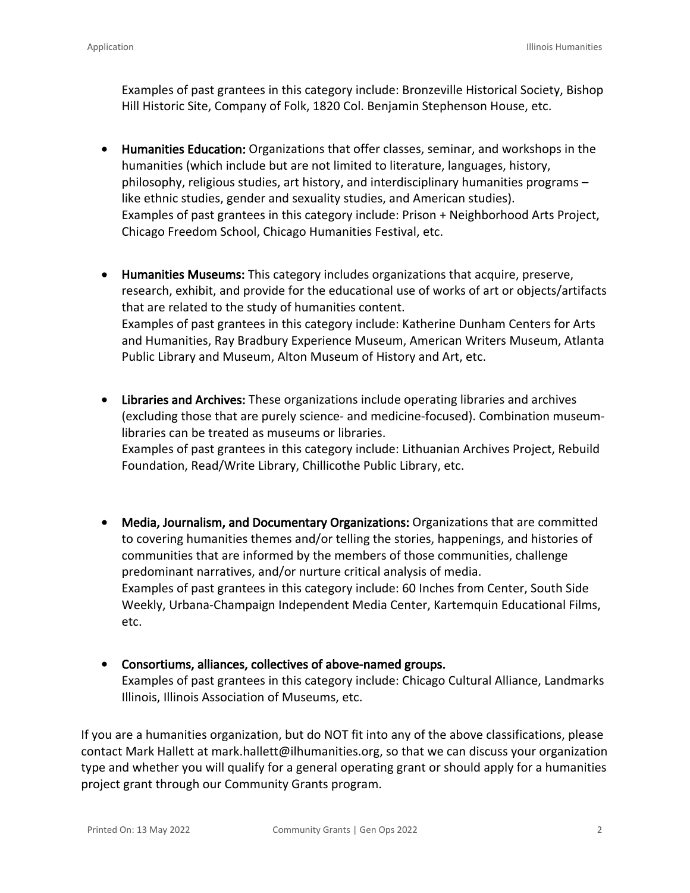Examples of past grantees in this category include: Bronzeville Historical Society, Bishop Hill Historic Site, Company of Folk, 1820 Col. Benjamin Stephenson House, etc.

- **Humanities Education:** Organizations that offer classes, seminar, and workshops in the humanities (which include but are not limited to literature, languages, history, philosophy, religious studies, art history, and interdisciplinary humanities programs – like ethnic studies, gender and sexuality studies, and American studies). Examples of past grantees in this category include: Prison + Neighborhood Arts Project, Chicago Freedom School, Chicago Humanities Festival, etc.
- **Humanities Museums:** This category includes organizations that acquire, preserve, research, exhibit, and provide for the educational use of works of art or objects/artifacts that are related to the study of humanities content. Examples of past grantees in this category include: Katherine Dunham Centers for Arts and Humanities, Ray Bradbury Experience Museum, American Writers Museum, Atlanta Public Library and Museum, Alton Museum of History and Art, etc.
- **Libraries and Archives:** These organizations include operating libraries and archives (excluding those that are purely science- and medicine-focused). Combination museumlibraries can be treated as museums or libraries. Examples of past grantees in this category include: Lithuanian Archives Project, Rebuild Foundation, Read/Write Library, Chillicothe Public Library, etc.
- **Media, Journalism, and Documentary Organizations:** Organizations that are committed to covering humanities themes and/or telling the stories, happenings, and histories of communities that are informed by the members of those communities, challenge predominant narratives, and/or nurture critical analysis of media. Examples of past grantees in this category include: 60 Inches from Center, South Side Weekly, Urbana-Champaign Independent Media Center, Kartemquin Educational Films, etc.
- **Consortiums, alliances, collectives of above-named groups.** Examples of past grantees in this category include: Chicago Cultural Alliance, Landmarks Illinois, Illinois Association of Museums, etc.

If you are a humanities organization, but do NOT fit into any of the above classifications, please contact Mark Hallett at [mark.hallett@ilhumanities.or](mailto:mark.hallett@ilhumanities.org)g, so that we can discuss your organization type and whether you will qualify for a general operating grant or should apply for a humanities project grant through our Community Grants program.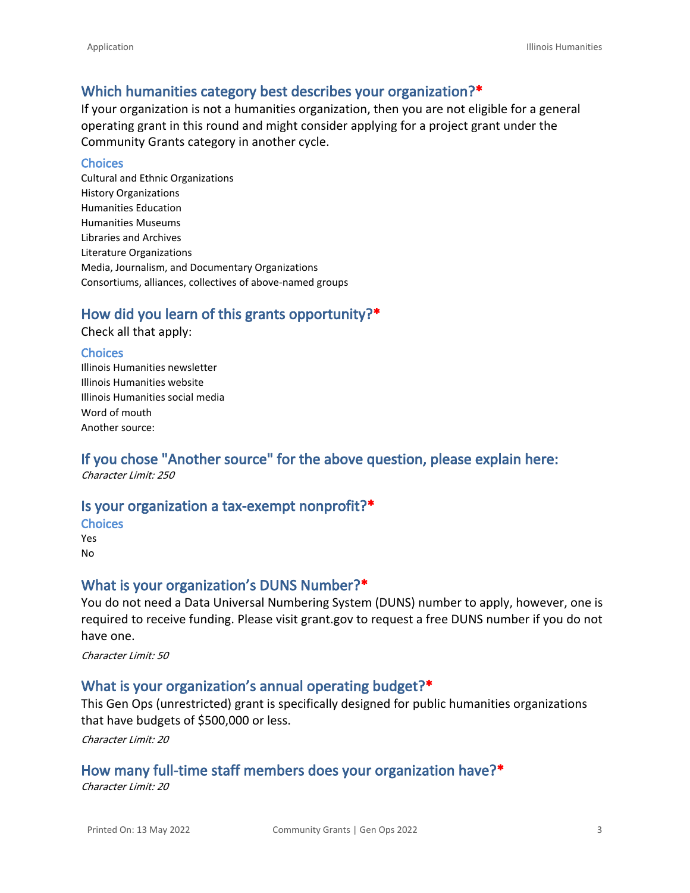### **Which humanities category best describes your organization?\***

If your organization is not a humanities organization, then you are not eligible for a general operating grant in this round and might consider applying for a project grant under the [Community Grants c](https://www.ilhumanities.org/program/vision-action-and-multiplier-vam-grants/)ategory in another cycle.

#### **Choices**

Cultural and Ethnic Organizations History Organizations Humanities Education Humanities Museums Libraries and Archives Literature Organizations Media, Journalism, and Documentary Organizations Consortiums, alliances, collectives of above-named groups

### **How did you learn of this grants opportunity?\***

Check all that apply:

#### **Choices**

Illinois Humanities newsletter Illinois Humanities website Illinois Humanities social media Word of mouth Another source:

## **If you chose "Another source" for the above question, please explain here:**

*Character Limit: 250*

#### **Is your organization a tax-exempt nonprofit?\***

- **Choices**
- Yes No

#### **What is your organization's DUNS Number?\***

You do not need a Data Universal Numbering System (DUNS) number to apply, however, one is required to receive funding. Please visit grant.gov to request a free DUNS number if you do not have one.

*Character Limit: 50*

#### **What is your organization's annual operating budget?\***

This Gen Ops (unrestricted) grant is specifically designed for public humanities organizations that have budgets of \$500,000 or less.

*Character Limit: 20*

#### **How many full-time staff members does your organization have?\***

*Character Limit: 20*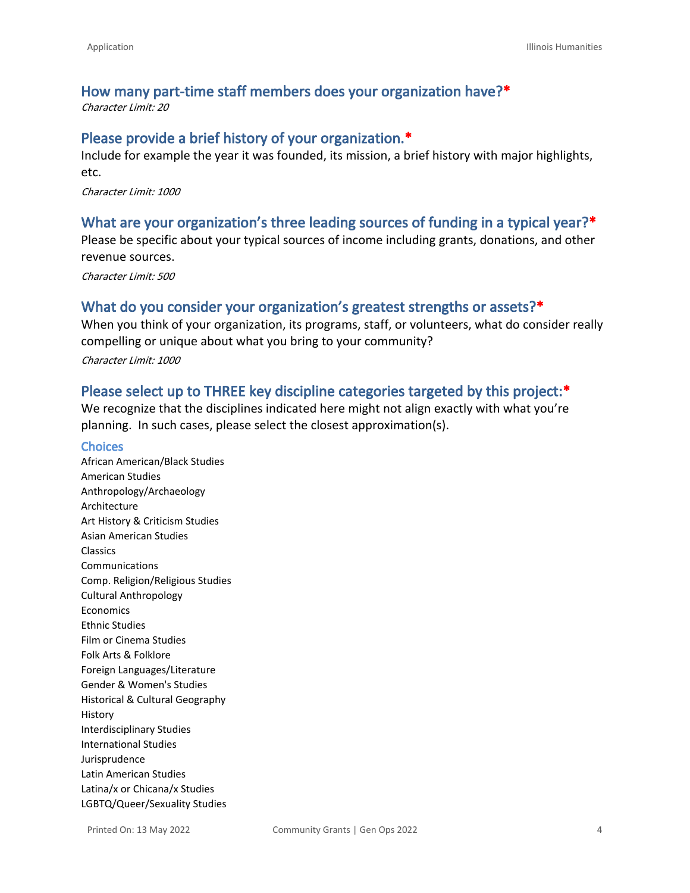## **How many part-time staff members does your organization have?\***

*Character Limit: 20*

#### **Please provide a brief history of your organization.\***

Include for example the year it was founded, its mission, a brief history with major highlights, etc.

*Character Limit: 1000*

#### **What are your organization's three leading sources of funding in a typical year?\***

Please be specific about your typical sources of income including grants, donations, and other revenue sources.

*Character Limit: 500*

#### **What do you consider your organization's greatest strengths or assets?\***

When you think of your organization, its programs, staff, or volunteers, what do consider really compelling or unique about what you bring to your community?

*Character Limit: 1000*

#### **Please select up to THREE key discipline categories targeted by this project:\***

We recognize that the disciplines indicated here might not align exactly with what you're planning. In such cases, please select the closest approximation(s).

#### **Choices**

African American/Black Studies American Studies Anthropology/Archaeology Architecture Art History & Criticism Studies Asian American Studies Classics Communications Comp. Religion/Religious Studies Cultural Anthropology Economics Ethnic Studies Film or Cinema Studies Folk Arts & Folklore Foreign Languages/Literature Gender & Women's Studies Historical & Cultural Geography History Interdisciplinary Studies International Studies Jurisprudence Latin American Studies Latina/x or Chicana/x Studies LGBTQ/Queer/Sexuality Studies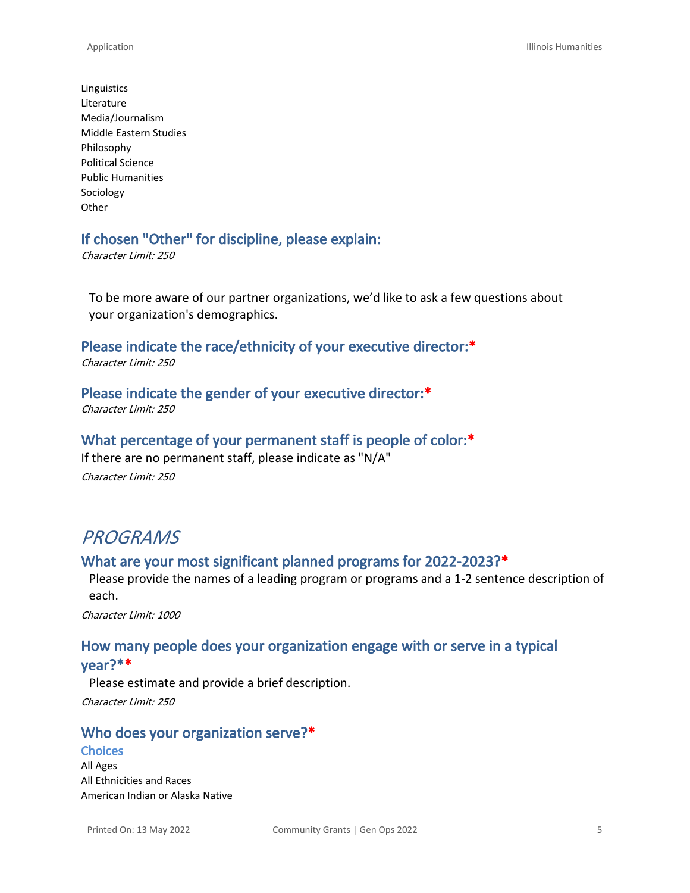Linguistics Literature Media/Journalism Middle Eastern Studies Philosophy Political Science Public Humanities Sociology **Other** 

#### **If chosen "Other" for discipline, please explain:**

*Character Limit: 250*

To be more aware of our partner organizations, we'd like to ask a few questions about your organization's demographics.

**Please indicate the race/ethnicity of your executive director:\***

*Character Limit: 250*

#### **Please indicate the gender of your executive director:\***

*Character Limit: 250*

#### **What percentage of your permanent staff is people of color:\***

If there are no permanent staff, please indicate as "N/A"

*Character Limit: 250*

## *PROGRAMS*

#### **What are your most significant planned programs for 2022-2023?\***

Please provide the names of a leading program or programs and a 1-2 sentence description of each.

*Character Limit: 1000*

## **How many people does your organization engage with or serve in a typical**

**year?\*\***

Please estimate and provide a brief description.

*Character Limit: 250*

#### **Who does your organization serve?\***

#### **Choices**

All Ages All Ethnicities and Races American Indian or Alaska Native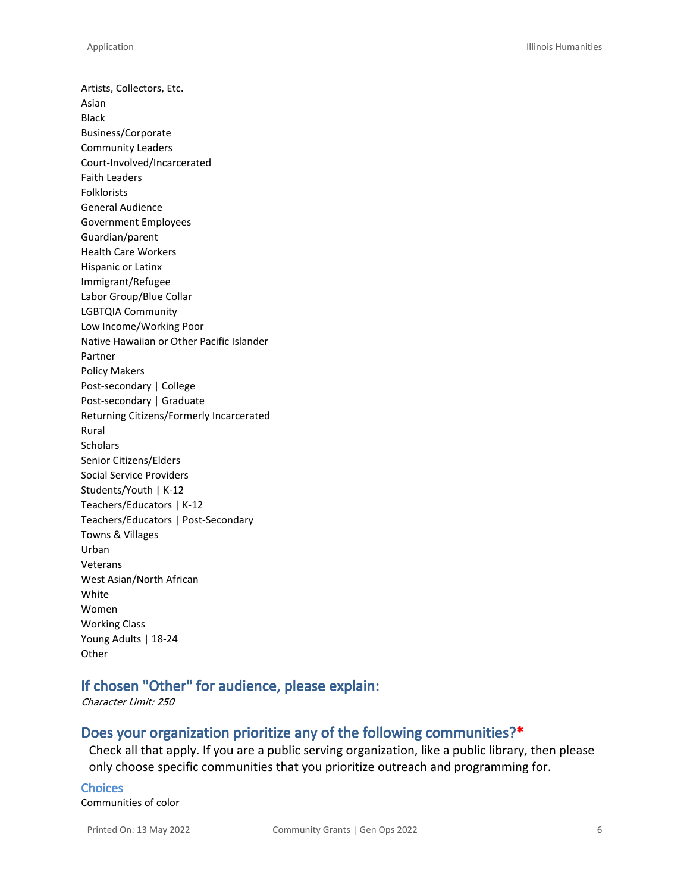Artists, Collectors, Etc. Asian Black Business/Corporate Community Leaders Court-Involved/Incarcerated Faith Leaders Folklorists General Audience Government Employees Guardian/parent Health Care Workers Hispanic or Latinx Immigrant/Refugee Labor Group/Blue Collar LGBTQIA Community Low Income/Working Poor Native Hawaiian or Other Pacific Islander Partner Policy Makers Post-secondary | College Post-secondary | Graduate Returning Citizens/Formerly Incarcerated Rural **Scholars** Senior Citizens/Elders Social Service Providers Students/Youth | K-12 Teachers/Educators | K-12 Teachers/Educators | Post-Secondary Towns & Villages Urban Veterans West Asian/North African White Women Working Class Young Adults | 18-24 **Other** 

### **If chosen "Other" for audience, please explain:**

*Character Limit: 250*

#### **Does your organization prioritize any of the following communities?\***

Check all that apply. If you are a public serving organization, like a public library, then please only choose specific communities that you prioritize outreach and programming for.

**Choices** Communities of color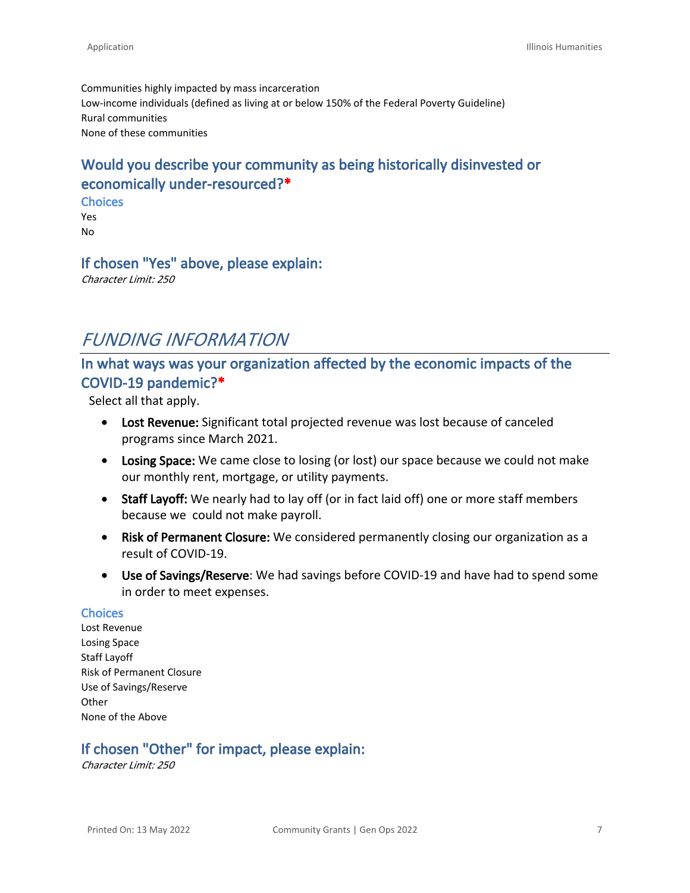Communities highly impacted by mass incarceration Low-income individuals (defined as living at or below 150% of the Federal Poverty Guideline) Rural communities None of these communities

## **Would you describe your community as being historically disinvested or economically under-resourced?\***

**Choices** Yes No

#### **If chosen "Yes" above, please explain:**

*Character Limit: 250*

## *FUNDING INFORMATION*

## **In what ways was your organization affected by the economic impacts of the COVID-19 pandemic?\***

Select all that apply.

- **Lost Revenue:** Significant total projected revenue was lost because of canceled programs since March 2021.
- **Losing Space:** We came close to losing (or lost) our space because we could not make our monthly rent, mortgage, or utility payments.
- **Staff Layoff:** We nearly had to lay off (or in fact laid off) one or more staff members because we could not make payroll.
- **Risk of Permanent Closure:** We considered permanently closing our organization as a result of COVID-19.
- **Use of Savings/Reserve**: We had savings before COVID-19 and have had to spend some in order to meet expenses.

#### **Choices**

Lost Revenue Losing Space Staff Layoff Risk of Permanent Closure Use of Savings/Reserve **Other** None of the Above

## **If chosen "Other" for impact, please explain:**

*Character Limit: 250*